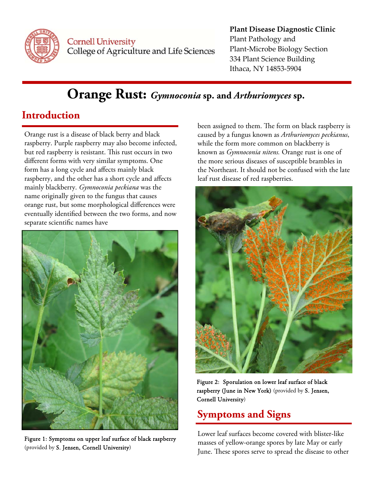

**Cornell University** College of Agriculture and Life Sciences

#### **Plant Disease Diagnostic Clinic** Plant Pathology and Plant‐Microbe Biology Section 334 Plant Science Building Ithaca, NY 14853‐5904

# **Orange Rust:** *Gymnoconia* **sp. and** *Arthuriomyces* **sp.**

## **Introduction**

Orange rust is a disease of black berry and black raspberry. Purple raspberry may also become infected, but red raspberry is resistant. This rust occurs in two different forms with very similar symptoms. One form has a long cycle and affects mainly black raspberry, and the other has a short cycle and affects mainly blackberry. *Gymnoconia peckiana* was the name originally given to the fungus that causes orange rust, but some morphological differences were eventually identified between the two forms, and now separate scientific names have



Figure 1: Symptoms on upper leaf surface of black raspberry (provided by S. Jensen, Cornell University)

been assigned to them. The form on black raspberry is caused by a fungus known as *Arthuriomyces peckianus*, while the form more common on blackberry is known as *Gymnoconia nitens.* Orange rust is one of the more serious diseases of susceptible brambles in the Northeast. It should not be confused with the late leaf rust disease of red raspberries.



Figure 2: Sporulation on lower leaf surface of black raspberry (June in New York) (provided by S. Jensen, Cornell University)

## **Symptoms and Signs**

Lower leaf surfaces become covered with blister-like masses of yellow-orange spores by late May or early June. These spores serve to spread the disease to other